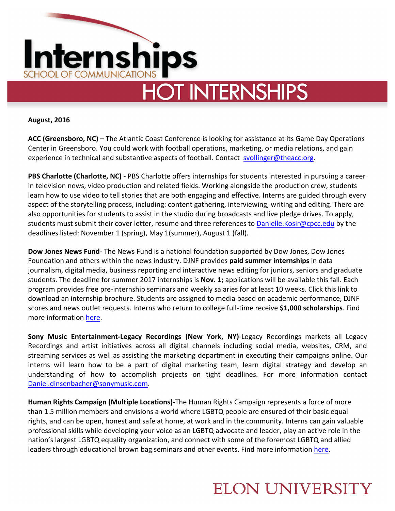

**August, 2016**

ACC (Greensboro, NC) – The Atlantic Coast Conference is looking for assistance at its Game Day Operations Center in Greensboro. You could work with football operations, marketing, or media relations, and gain experience in technical and substantive aspects of football. Contact  $s$ vollinger@theacc.org.

**PBS Charlotte (Charlotte, NC)** - PBS Charlotte offers internships for students interested in pursuing a career in television news, video production and related fields. Working alongside the production crew, students learn how to use video to tell stories that are both engaging and effective. Interns are guided through every aspect of the storytelling process, including: content gathering, interviewing, writing and editing. There are also opportunities for students to assist in the studio during broadcasts and live pledge drives. To apply, students must submit their cover letter, resume and three references to Danielle.Kosir@cpcc.edu by the deadlines listed: November 1 (spring), May 1(summer), August 1 (fall).

**Dow Jones News Fund**- The News Fund is a national foundation supported by Dow Jones, Dow Jones Foundation and others within the news industry. DJNF provides **paid summer internships** in data journalism, digital media, business reporting and interactive news editing for juniors, seniors and graduate students. The deadline for summer 2017 internships is **Nov. 1;** applications will be available this fall. Each program provides free pre-internship seminars and weekly salaries for at least 10 weeks. Click this link to download an internship brochure. Students are assigned to media based on academic performance, DJNF scores and news outlet requests. Interns who return to college full-time receive \$1,000 scholarships. Find more information here.

**Sony Music Entertainment-Legacy Recordings (New York, NY)-Legacy Recordings markets all Legacy** Recordings and artist initiatives across all digital channels including social media, websites, CRM, and streaming services as well as assisting the marketing department in executing their campaigns online. Our interns will learn how to be a part of digital marketing team, learn digital strategy and develop an understanding of how to accomplish projects on tight deadlines. For more information contact Daniel.dinsenbacher@sonymusic.com.

**Human Rights Campaign (Multiple Locations)**-The Human Rights Campaign represents a force of more than 1.5 million members and envisions a world where LGBTQ people are ensured of their basic equal rights, and can be open, honest and safe at home, at work and in the community. Interns can gain valuable professional skills while developing your voice as an LGBTQ advocate and leader, play an active role in the nation's largest LGBTQ equality organization, and connect with some of the foremost LGBTQ and allied leaders through educational brown bag seminars and other events. Find more information here.

## **ELON UNIVERSITY**